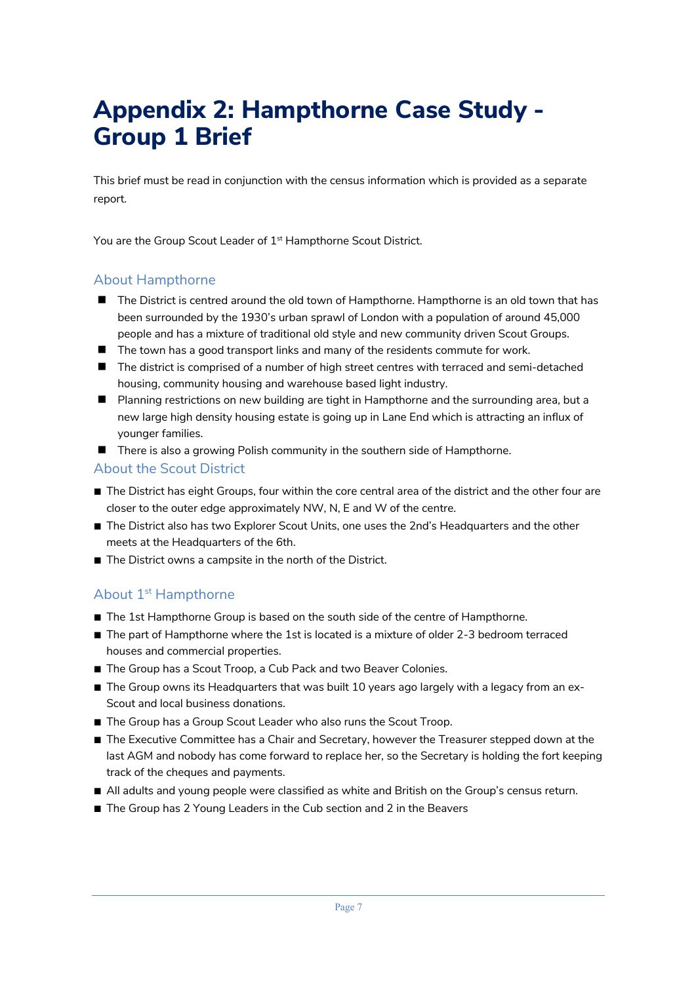## **Appendix 2: Hampthorne Case Study - Group 1 Brief**

This brief must be read in conjunction with the census information which is provided as a separate report.

You are the Group Scout Leader of 1<sup>st</sup> Hampthorne Scout District.

## About Hampthorne

- The District is centred around the old town of Hampthorne. Hampthorne is an old town that has been surrounded by the 1930's urban sprawl of London with a population of around 45,000 people and has a mixture of traditional old style and new community driven Scout Groups.
- $\blacksquare$  The town has a good transport links and many of the residents commute for work.
- $\blacksquare$  The district is comprised of a number of high street centres with terraced and semi-detached housing, community housing and warehouse based light industry.
- **n** Planning restrictions on new building are tight in Hampthorne and the surrounding area, but a new large high density housing estate is going up in Lane End which is attracting an influx of younger families.
- $\blacksquare$  There is also a growing Polish community in the southern side of Hampthorne.

## About the Scout District

- The District has eight Groups, four within the core central area of the district and the other four are closer to the outer edge approximately NW, N, E and W of the centre.
- The District also has two Explorer Scout Units, one uses the 2nd's Headquarters and the other meets at the Headquarters of the 6th.
- The District owns a campsite in the north of the District.

## About 1<sup>st</sup> Hampthorne

- The 1st Hampthorne Group is based on the south side of the centre of Hampthorne.
- The part of Hampthorne where the 1st is located is a mixture of older 2-3 bedroom terraced houses and commercial properties.
- The Group has a Scout Troop, a Cub Pack and two Beaver Colonies.
- The Group owns its Headquarters that was built 10 years ago largely with a legacy from an ex-Scout and local business donations.
- The Group has a Group Scout Leader who also runs the Scout Troop.
- The Executive Committee has a Chair and Secretary, however the Treasurer stepped down at the last AGM and nobody has come forward to replace her, so the Secretary is holding the fort keeping track of the cheques and payments.
- All adults and young people were classified as white and British on the Group's census return.
- The Group has 2 Young Leaders in the Cub section and 2 in the Beavers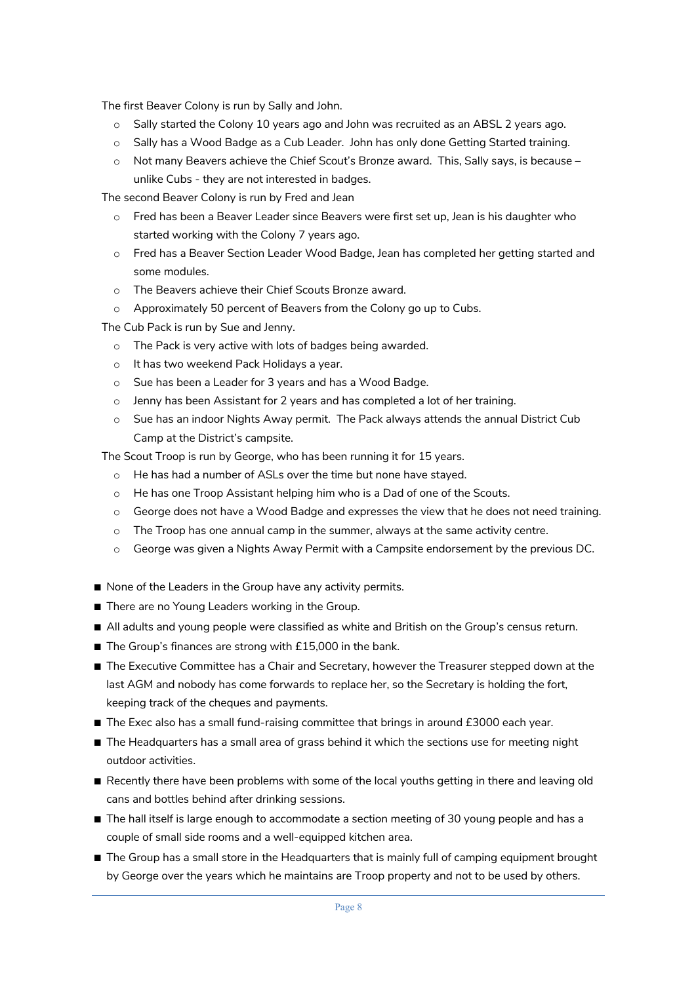The first Beaver Colony is run by Sally and John.

- o Sally started the Colony 10 years ago and John was recruited as an ABSL 2 years ago.
- o Sally has a Wood Badge as a Cub Leader. John has only done Getting Started training.
- o Not many Beavers achieve the Chief Scout's Bronze award. This, Sally says, is because unlike Cubs - they are not interested in badges.

The second Beaver Colony is run by Fred and Jean

- o Fred has been a Beaver Leader since Beavers were first set up, Jean is his daughter who started working with the Colony 7 years ago.
- o Fred has a Beaver Section Leader Wood Badge, Jean has completed her getting started and some modules.
- o The Beavers achieve their Chief Scouts Bronze award.
- o Approximately 50 percent of Beavers from the Colony go up to Cubs.

The Cub Pack is run by Sue and Jenny.

- o The Pack is very active with lots of badges being awarded.
- o It has two weekend Pack Holidays a year.
- o Sue has been a Leader for 3 years and has a Wood Badge.
- o Jenny has been Assistant for 2 years and has completed a lot of her training.
- o Sue has an indoor Nights Away permit. The Pack always attends the annual District Cub Camp at the District's campsite.

The Scout Troop is run by George, who has been running it for 15 years.

- o He has had a number of ASLs over the time but none have stayed.
- $\circ$  He has one Troop Assistant helping him who is a Dad of one of the Scouts.
- o George does not have a Wood Badge and expresses the view that he does not need training.
- $\circ$  The Troop has one annual camp in the summer, always at the same activity centre.
- o George was given a Nights Away Permit with a Campsite endorsement by the previous DC.
- None of the Leaders in the Group have any activity permits.
- There are no Young Leaders working in the Group.
- All adults and young people were classified as white and British on the Group's census return.
- The Group's finances are strong with £15,000 in the bank.
- The Executive Committee has a Chair and Secretary, however the Treasurer stepped down at the last AGM and nobody has come forwards to replace her, so the Secretary is holding the fort, keeping track of the cheques and payments.
- The Exec also has a small fund-raising committee that brings in around £3000 each year.
- The Headquarters has a small area of grass behind it which the sections use for meeting night outdoor activities.
- Recently there have been problems with some of the local youths getting in there and leaving old cans and bottles behind after drinking sessions.
- The hall itself is large enough to accommodate a section meeting of 30 young people and has a couple of small side rooms and a well-equipped kitchen area.
- The Group has a small store in the Headquarters that is mainly full of camping equipment brought by George over the years which he maintains are Troop property and not to be used by others.